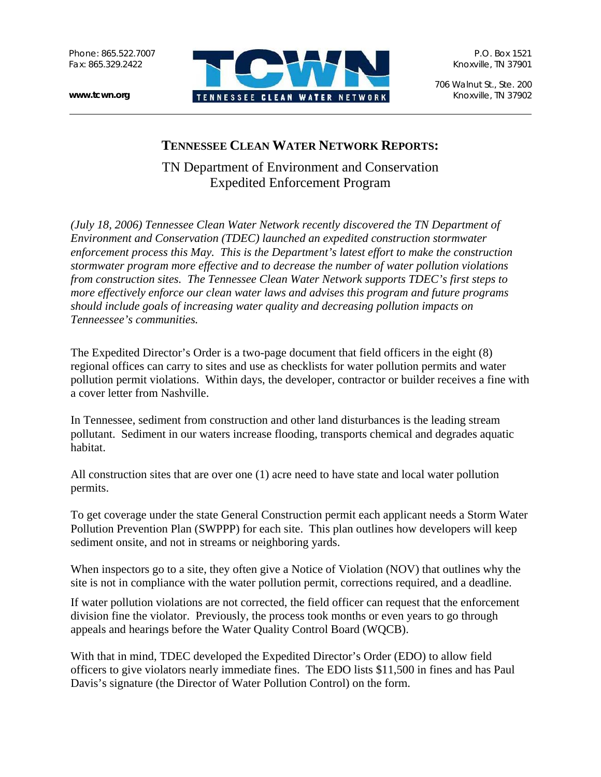Phone: 865.522.7007 Fax: 865.329.2422



P.O. Box 1521 Knoxville, TN 37901

706 Walnut St., Ste. 200 Knoxville, TN 37902

## **TENNESSEE CLEAN WATER NETWORK REPORTS:**

TN Department of Environment and Conservation Expedited Enforcement Program

*(July 18, 2006) Tennessee Clean Water Network recently discovered the TN Department of Environment and Conservation (TDEC) launched an expedited construction stormwater enforcement process this May. This is the Department's latest effort to make the construction stormwater program more effective and to decrease the number of water pollution violations from construction sites. The Tennessee Clean Water Network supports TDEC's first steps to more effectively enforce our clean water laws and advises this program and future programs should include goals of increasing water quality and decreasing pollution impacts on Tenneessee's communities.* 

The Expedited Director's Order is a two-page document that field officers in the eight (8) regional offices can carry to sites and use as checklists for water pollution permits and water pollution permit violations. Within days, the developer, contractor or builder receives a fine with a cover letter from Nashville.

In Tennessee, sediment from construction and other land disturbances is the leading stream pollutant. Sediment in our waters increase flooding, transports chemical and degrades aquatic habitat.

All construction sites that are over one (1) acre need to have state and local water pollution permits.

To get coverage under the state General Construction permit each applicant needs a Storm Water Pollution Prevention Plan (SWPPP) for each site. This plan outlines how developers will keep sediment onsite, and not in streams or neighboring yards.

When inspectors go to a site, they often give a Notice of Violation (NOV) that outlines why the site is not in compliance with the water pollution permit, corrections required, and a deadline.

If water pollution violations are not corrected, the field officer can request that the enforcement division fine the violator. Previously, the process took months or even years to go through appeals and hearings before the Water Quality Control Board (WQCB).

With that in mind, TDEC developed the Expedited Director's Order (EDO) to allow field officers to give violators nearly immediate fines. The EDO lists \$11,500 in fines and has Paul Davis's signature (the Director of Water Pollution Control) on the form.

**www.tcwn.org**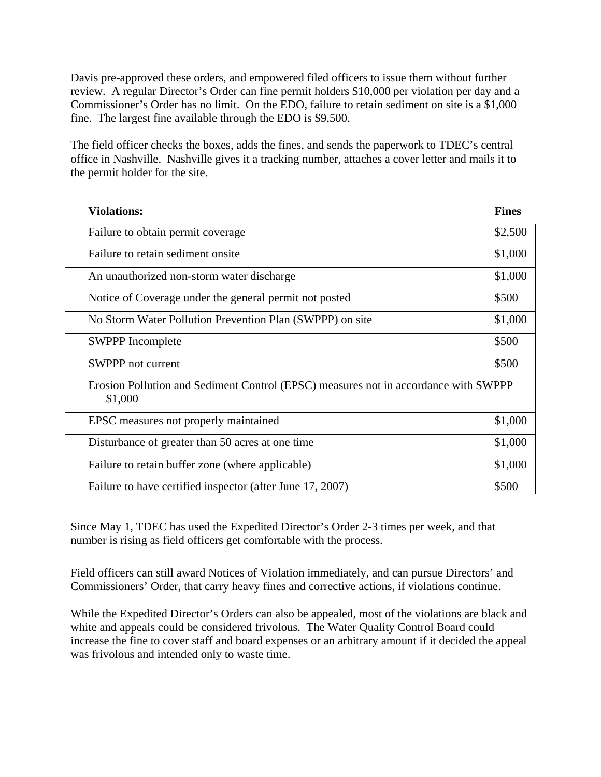Davis pre-approved these orders, and empowered filed officers to issue them without further review. A regular Director's Order can fine permit holders \$10,000 per violation per day and a Commissioner's Order has no limit. On the EDO, failure to retain sediment on site is a \$1,000 fine. The largest fine available through the EDO is \$9,500.

The field officer checks the boxes, adds the fines, and sends the paperwork to TDEC's central office in Nashville. Nashville gives it a tracking number, attaches a cover letter and mails it to the permit holder for the site.

| <b>Violations:</b>                                                                             | <b>Fines</b> |
|------------------------------------------------------------------------------------------------|--------------|
| Failure to obtain permit coverage                                                              | \$2,500      |
| Failure to retain sediment onsite                                                              | \$1,000      |
| An unauthorized non-storm water discharge                                                      | \$1,000      |
| Notice of Coverage under the general permit not posted                                         | \$500        |
| No Storm Water Pollution Prevention Plan (SWPPP) on site                                       | \$1,000      |
| <b>SWPPP</b> Incomplete                                                                        | \$500        |
| <b>SWPPP</b> not current                                                                       | \$500        |
| Erosion Pollution and Sediment Control (EPSC) measures not in accordance with SWPPP<br>\$1,000 |              |
| EPSC measures not properly maintained                                                          | \$1,000      |
| Disturbance of greater than 50 acres at one time                                               | \$1,000      |
| Failure to retain buffer zone (where applicable)                                               | \$1,000      |
| Failure to have certified inspector (after June 17, 2007)                                      | \$500        |

Since May 1, TDEC has used the Expedited Director's Order 2-3 times per week, and that number is rising as field officers get comfortable with the process.

Field officers can still award Notices of Violation immediately, and can pursue Directors' and Commissioners' Order, that carry heavy fines and corrective actions, if violations continue.

While the Expedited Director's Orders can also be appealed, most of the violations are black and white and appeals could be considered frivolous. The Water Quality Control Board could increase the fine to cover staff and board expenses or an arbitrary amount if it decided the appeal was frivolous and intended only to waste time.